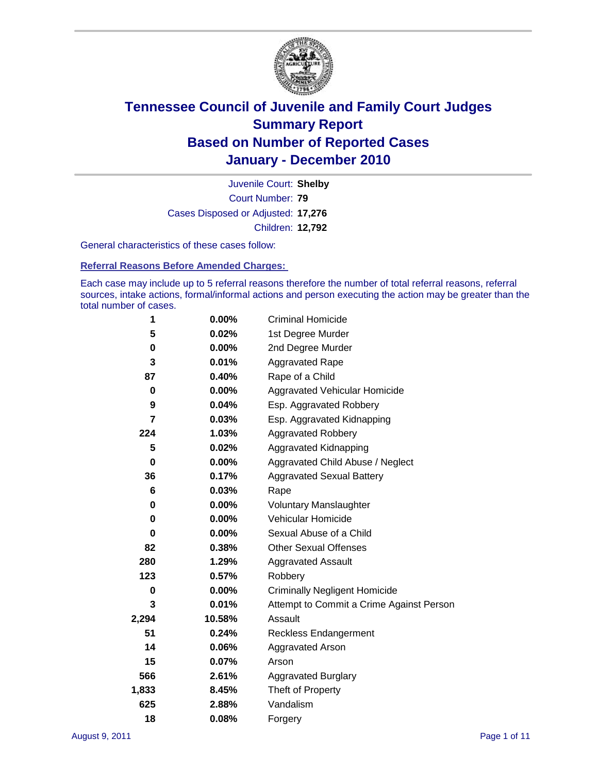

Court Number: **79** Juvenile Court: **Shelby** Cases Disposed or Adjusted: **17,276** Children: **12,792**

General characteristics of these cases follow:

**Referral Reasons Before Amended Charges:** 

Each case may include up to 5 referral reasons therefore the number of total referral reasons, referral sources, intake actions, formal/informal actions and person executing the action may be greater than the total number of cases.

| 1           | $0.00\%$ | <b>Criminal Homicide</b>                 |
|-------------|----------|------------------------------------------|
| 5           | 0.02%    | 1st Degree Murder                        |
| 0           | $0.00\%$ | 2nd Degree Murder                        |
| 3           | 0.01%    | <b>Aggravated Rape</b>                   |
| 87          | 0.40%    | Rape of a Child                          |
| 0           | 0.00%    | Aggravated Vehicular Homicide            |
| 9           | 0.04%    | Esp. Aggravated Robbery                  |
| 7           | 0.03%    | Esp. Aggravated Kidnapping               |
| 224         | 1.03%    | <b>Aggravated Robbery</b>                |
| 5           | 0.02%    | Aggravated Kidnapping                    |
| $\mathbf 0$ | $0.00\%$ | Aggravated Child Abuse / Neglect         |
| 36          | 0.17%    | <b>Aggravated Sexual Battery</b>         |
| 6           | 0.03%    | Rape                                     |
| 0           | 0.00%    | <b>Voluntary Manslaughter</b>            |
| $\mathbf 0$ | 0.00%    | Vehicular Homicide                       |
| 0           | 0.00%    | Sexual Abuse of a Child                  |
| 82          | 0.38%    | <b>Other Sexual Offenses</b>             |
| 280         | 1.29%    | Aggravated Assault                       |
| 123         | 0.57%    | Robbery                                  |
| 0           | $0.00\%$ | <b>Criminally Negligent Homicide</b>     |
| 3           | 0.01%    | Attempt to Commit a Crime Against Person |
| 2,294       | 10.58%   | Assault                                  |
| 51          | 0.24%    | <b>Reckless Endangerment</b>             |
| 14          | 0.06%    | Aggravated Arson                         |
| 15          | 0.07%    | Arson                                    |
| 566         | 2.61%    | <b>Aggravated Burglary</b>               |
| 1,833       | 8.45%    | Theft of Property                        |
| 625         | 2.88%    | Vandalism                                |
| 18          | 0.08%    | Forgery                                  |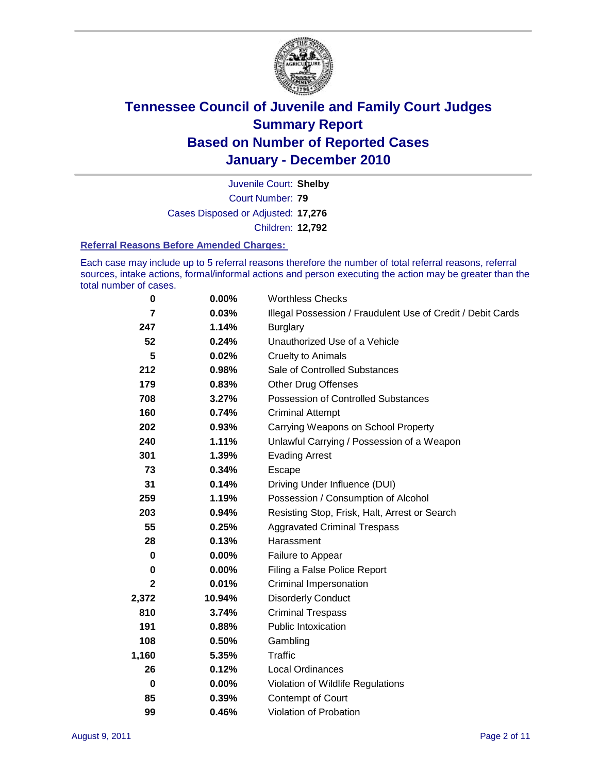

Court Number: **79** Juvenile Court: **Shelby** Cases Disposed or Adjusted: **17,276** Children: **12,792**

#### **Referral Reasons Before Amended Charges:**

Each case may include up to 5 referral reasons therefore the number of total referral reasons, referral sources, intake actions, formal/informal actions and person executing the action may be greater than the total number of cases.

| 0        | 0.00%    | <b>Worthless Checks</b>                                     |
|----------|----------|-------------------------------------------------------------|
| 7        | 0.03%    | Illegal Possession / Fraudulent Use of Credit / Debit Cards |
| 247      | 1.14%    | <b>Burglary</b>                                             |
| 52       | 0.24%    | Unauthorized Use of a Vehicle                               |
| 5        | 0.02%    | <b>Cruelty to Animals</b>                                   |
| 212      | 0.98%    | Sale of Controlled Substances                               |
| 179      | 0.83%    | <b>Other Drug Offenses</b>                                  |
| 708      | 3.27%    | Possession of Controlled Substances                         |
| 160      | 0.74%    | <b>Criminal Attempt</b>                                     |
| 202      | 0.93%    | Carrying Weapons on School Property                         |
| 240      | 1.11%    | Unlawful Carrying / Possession of a Weapon                  |
| 301      | 1.39%    | <b>Evading Arrest</b>                                       |
| 73       | 0.34%    | Escape                                                      |
| 31       | 0.14%    | Driving Under Influence (DUI)                               |
| 259      | 1.19%    | Possession / Consumption of Alcohol                         |
| 203      | 0.94%    | Resisting Stop, Frisk, Halt, Arrest or Search               |
| 55       | 0.25%    | <b>Aggravated Criminal Trespass</b>                         |
| 28       | 0.13%    | Harassment                                                  |
| 0        | 0.00%    | Failure to Appear                                           |
| 0        | $0.00\%$ | Filing a False Police Report                                |
| 2        | 0.01%    | <b>Criminal Impersonation</b>                               |
| 2,372    | 10.94%   | <b>Disorderly Conduct</b>                                   |
| 810      | 3.74%    | <b>Criminal Trespass</b>                                    |
| 191      | 0.88%    | <b>Public Intoxication</b>                                  |
| 108      | 0.50%    | Gambling                                                    |
| 1,160    | 5.35%    | <b>Traffic</b>                                              |
| 26       | 0.12%    | <b>Local Ordinances</b>                                     |
| $\bf{0}$ | 0.00%    | Violation of Wildlife Regulations                           |
| 85       | 0.39%    | Contempt of Court                                           |
| 99       | 0.46%    | Violation of Probation                                      |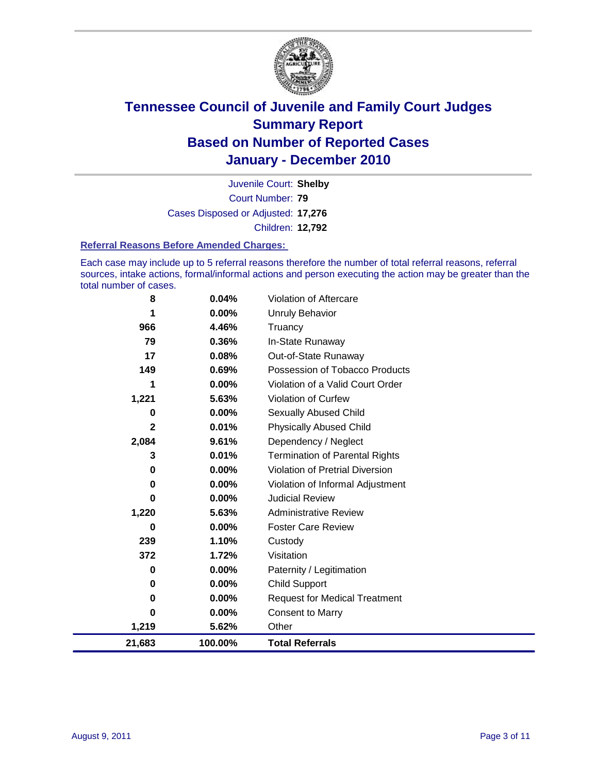

Court Number: **79** Juvenile Court: **Shelby** Cases Disposed or Adjusted: **17,276** Children: **12,792**

#### **Referral Reasons Before Amended Charges:**

Each case may include up to 5 referral reasons therefore the number of total referral reasons, referral sources, intake actions, formal/informal actions and person executing the action may be greater than the total number of cases.

| 8        | 0.04%    | Violation of Aftercare                 |
|----------|----------|----------------------------------------|
| 1        | $0.00\%$ | Unruly Behavior                        |
| 966      | 4.46%    | Truancy                                |
| 79       | 0.36%    | In-State Runaway                       |
| 17       | 0.08%    | Out-of-State Runaway                   |
| 149      | 0.69%    | Possession of Tobacco Products         |
|          | $0.00\%$ | Violation of a Valid Court Order       |
| 1,221    | 5.63%    | <b>Violation of Curfew</b>             |
| 0        | 0.00%    | Sexually Abused Child                  |
| 2        | 0.01%    | <b>Physically Abused Child</b>         |
| 2,084    | 9.61%    | Dependency / Neglect                   |
| 3        | 0.01%    | <b>Termination of Parental Rights</b>  |
| 0        | 0.00%    | <b>Violation of Pretrial Diversion</b> |
| 0        | 0.00%    | Violation of Informal Adjustment       |
| 0        | 0.00%    | <b>Judicial Review</b>                 |
| 1,220    | 5.63%    | <b>Administrative Review</b>           |
| 0        | 0.00%    | <b>Foster Care Review</b>              |
| 239      | 1.10%    | Custody                                |
| 372      | 1.72%    | Visitation                             |
| 0        | $0.00\%$ | Paternity / Legitimation               |
| 0        | 0.00%    | <b>Child Support</b>                   |
| 0        | 0.00%    | <b>Request for Medical Treatment</b>   |
| $\bf{0}$ | $0.00\%$ | <b>Consent to Marry</b>                |
| 1,219    | 5.62%    | Other                                  |
| 21,683   | 100.00%  | <b>Total Referrals</b>                 |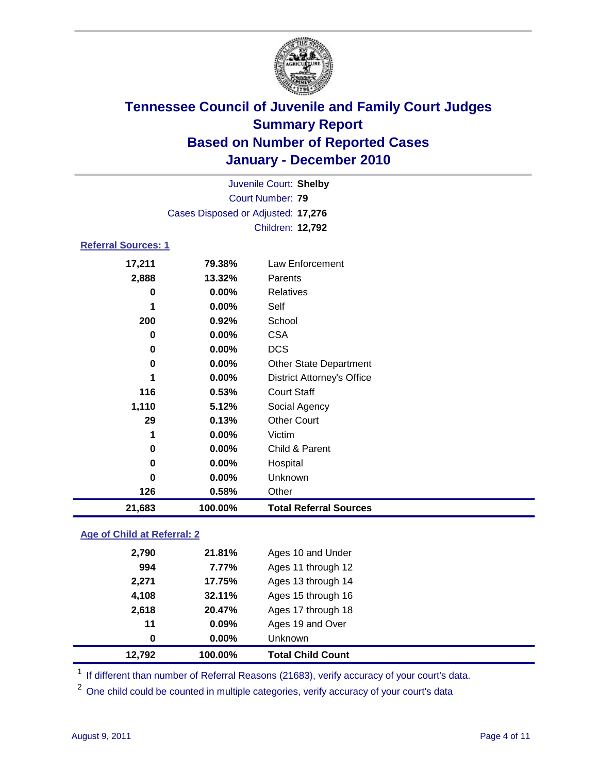

| 126                        | 0.58%                              | Other                             |  |  |  |
|----------------------------|------------------------------------|-----------------------------------|--|--|--|
| $\bf{0}$                   | 0.00%                              | Unknown                           |  |  |  |
| 0                          | 0.00%                              | Hospital                          |  |  |  |
| 0                          | 0.00%                              | Child & Parent                    |  |  |  |
| 1                          | 0.00%                              | Victim                            |  |  |  |
| 29                         | 0.13%                              | <b>Other Court</b>                |  |  |  |
| 1,110                      | 5.12%                              | Social Agency                     |  |  |  |
| 116                        | 0.53%                              | <b>Court Staff</b>                |  |  |  |
| 1                          | $0.00\%$                           | <b>District Attorney's Office</b> |  |  |  |
| 0                          | $0.00\%$                           | Other State Department            |  |  |  |
| 0                          | 0.00%                              | <b>DCS</b>                        |  |  |  |
| 0                          | $0.00\%$                           | <b>CSA</b>                        |  |  |  |
| 200                        | 0.92%                              | School                            |  |  |  |
| 1                          | 0.00%                              | Self                              |  |  |  |
| 0                          | $0.00\%$                           | Relatives                         |  |  |  |
| 2,888                      | 13.32%                             | Parents                           |  |  |  |
| 17,211                     | 79.38%                             | Law Enforcement                   |  |  |  |
| <b>Referral Sources: 1</b> |                                    |                                   |  |  |  |
|                            |                                    | Children: 12,792                  |  |  |  |
|                            | Cases Disposed or Adjusted: 17,276 |                                   |  |  |  |
|                            | <b>Court Number: 79</b>            |                                   |  |  |  |
|                            | Juvenile Court: Shelby             |                                   |  |  |  |

### **Age of Child at Referral: 2**

| 4,108<br>2,618<br>11<br>0 | 32.11%<br>20.47%<br>0.09%<br>$0.00\%$ | Ages 15 through 16<br>Ages 17 through 18<br>Ages 19 and Over<br><b>Unknown</b> |
|---------------------------|---------------------------------------|--------------------------------------------------------------------------------|
|                           |                                       |                                                                                |
|                           |                                       |                                                                                |
|                           |                                       |                                                                                |
|                           |                                       |                                                                                |
| 2,271                     | 17.75%                                | Ages 13 through 14                                                             |
| 994                       | 7.77%                                 | Ages 11 through 12                                                             |
| 2,790                     |                                       | Ages 10 and Under                                                              |
|                           |                                       | 21.81%                                                                         |

<sup>1</sup> If different than number of Referral Reasons (21683), verify accuracy of your court's data.

<sup>2</sup> One child could be counted in multiple categories, verify accuracy of your court's data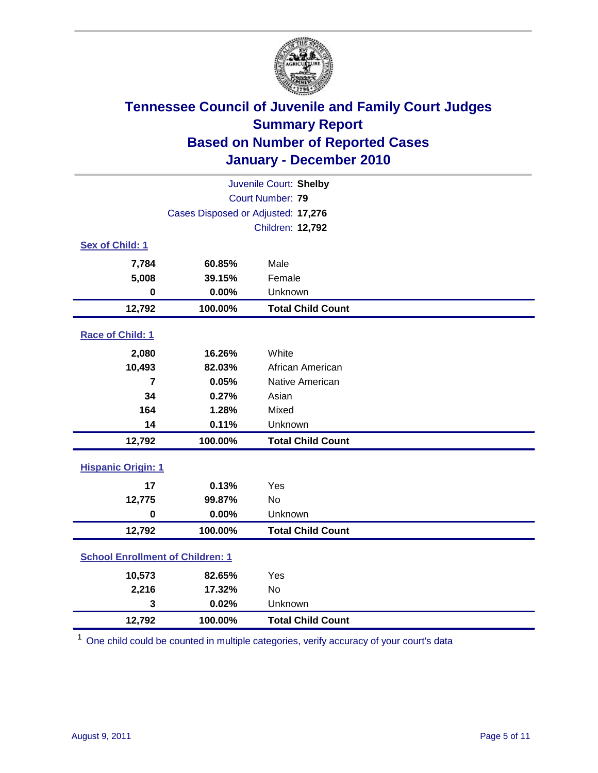

| Juvenile Court: Shelby                  |                                    |                          |  |  |
|-----------------------------------------|------------------------------------|--------------------------|--|--|
|                                         |                                    | Court Number: 79         |  |  |
|                                         | Cases Disposed or Adjusted: 17,276 |                          |  |  |
|                                         |                                    | Children: 12,792         |  |  |
| Sex of Child: 1                         |                                    |                          |  |  |
| 7,784                                   | 60.85%                             | Male                     |  |  |
| 5,008                                   | 39.15%                             | Female                   |  |  |
| $\mathbf 0$                             | 0.00%                              | Unknown                  |  |  |
| 12,792                                  | 100.00%                            | <b>Total Child Count</b> |  |  |
| Race of Child: 1                        |                                    |                          |  |  |
| 2,080                                   | 16.26%                             | White                    |  |  |
| 10,493                                  | 82.03%                             | African American         |  |  |
| 7                                       | 0.05%                              | Native American          |  |  |
| 34                                      | 0.27%                              | Asian                    |  |  |
| 164                                     | 1.28%                              | Mixed                    |  |  |
| 14                                      | 0.11%                              | Unknown                  |  |  |
| 12,792                                  | 100.00%                            | <b>Total Child Count</b> |  |  |
| <b>Hispanic Origin: 1</b>               |                                    |                          |  |  |
| 17                                      | 0.13%                              | Yes                      |  |  |
| 12,775                                  | 99.87%                             | <b>No</b>                |  |  |
| $\mathbf 0$                             | 0.00%                              | Unknown                  |  |  |
| 12,792                                  | 100.00%                            | <b>Total Child Count</b> |  |  |
| <b>School Enrollment of Children: 1</b> |                                    |                          |  |  |
| 10,573                                  | 82.65%                             | Yes                      |  |  |
| 2,216                                   | 17.32%                             | No                       |  |  |
| 3                                       | 0.02%                              | Unknown                  |  |  |
| 12,792                                  | 100.00%                            | <b>Total Child Count</b> |  |  |

<sup>1</sup> One child could be counted in multiple categories, verify accuracy of your court's data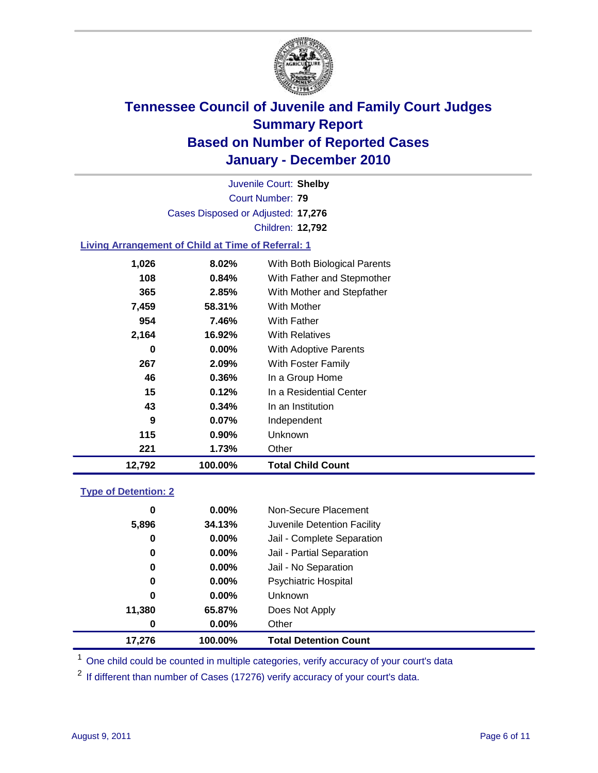

Court Number: **79** Juvenile Court: **Shelby** Cases Disposed or Adjusted: **17,276** Children: **12,792**

### **Living Arrangement of Child at Time of Referral: 1**

| 12,792 | 100.00%  | Total Child Count            |
|--------|----------|------------------------------|
| 221    | 1.73%    | Other                        |
| 115    | $0.90\%$ | Unknown                      |
| 9      | $0.07\%$ | Independent                  |
| 43     | 0.34%    | In an Institution            |
| 15     | 0.12%    | In a Residential Center      |
| 46     | 0.36%    | In a Group Home              |
| 267    | 2.09%    | With Foster Family           |
| 0      | 0.00%    | With Adoptive Parents        |
| 2,164  | 16.92%   | <b>With Relatives</b>        |
| 954    | 7.46%    | With Father                  |
| 7,459  | 58.31%   | With Mother                  |
| 365    | 2.85%    | With Mother and Stepfather   |
| 108    | $0.84\%$ | With Father and Stepmother   |
| 1,026  | 8.02%    | With Both Biological Parents |
|        |          |                              |

#### **Type of Detention: 2**

| 17,276 | 100.00%  | <b>Total Detention Count</b> |  |
|--------|----------|------------------------------|--|
| 0      | $0.00\%$ | Other                        |  |
| 11,380 | 65.87%   | Does Not Apply               |  |
| 0      | $0.00\%$ | <b>Unknown</b>               |  |
| 0      | $0.00\%$ | <b>Psychiatric Hospital</b>  |  |
| 0      | 0.00%    | Jail - No Separation         |  |
| 0      | $0.00\%$ | Jail - Partial Separation    |  |
| 0      | 0.00%    | Jail - Complete Separation   |  |
| 5,896  | 34.13%   | Juvenile Detention Facility  |  |
| 0      | $0.00\%$ | Non-Secure Placement         |  |
|        |          |                              |  |

<sup>1</sup> One child could be counted in multiple categories, verify accuracy of your court's data

<sup>2</sup> If different than number of Cases (17276) verify accuracy of your court's data.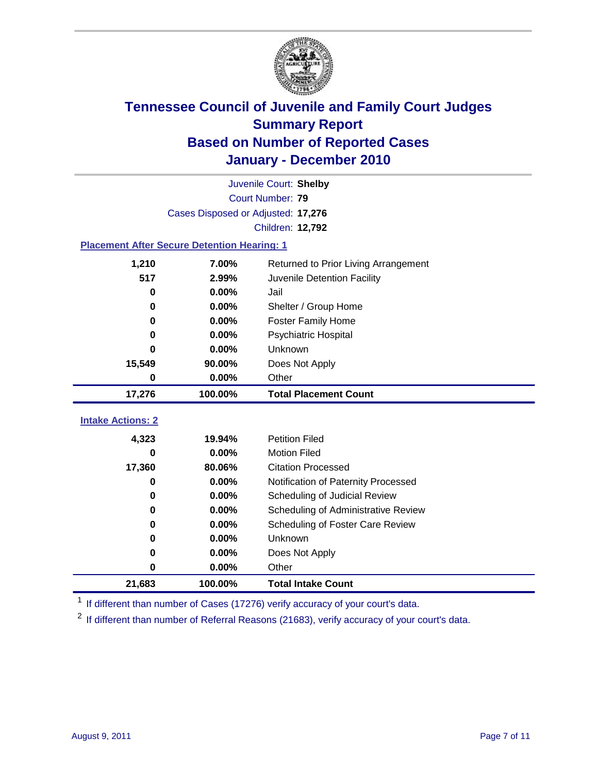

|                                                    | Juvenile Court: Shelby             |                                      |  |  |  |
|----------------------------------------------------|------------------------------------|--------------------------------------|--|--|--|
|                                                    | Court Number: 79                   |                                      |  |  |  |
|                                                    | Cases Disposed or Adjusted: 17,276 |                                      |  |  |  |
|                                                    |                                    | Children: 12,792                     |  |  |  |
| <b>Placement After Secure Detention Hearing: 1</b> |                                    |                                      |  |  |  |
| 1,210                                              | 7.00%                              | Returned to Prior Living Arrangement |  |  |  |
| 517                                                | 2.99%                              | Juvenile Detention Facility          |  |  |  |
| 0                                                  | 0.00%                              | Jail                                 |  |  |  |
| 0                                                  | 0.00%                              | Shelter / Group Home                 |  |  |  |
| 0                                                  | 0.00%                              | <b>Foster Family Home</b>            |  |  |  |
| 0                                                  | 0.00%                              | Psychiatric Hospital                 |  |  |  |
| 0                                                  | 0.00%                              | Unknown                              |  |  |  |
| 15,549                                             | 90.00%                             | Does Not Apply                       |  |  |  |
| 0                                                  | 0.00%                              | Other                                |  |  |  |
| 17,276                                             | 100.00%                            | <b>Total Placement Count</b>         |  |  |  |
| <b>Intake Actions: 2</b>                           |                                    |                                      |  |  |  |
|                                                    |                                    |                                      |  |  |  |
| 4,323                                              | 19.94%                             | <b>Petition Filed</b>                |  |  |  |
| 0                                                  | 0.00%                              | <b>Motion Filed</b>                  |  |  |  |
| 17,360                                             | 80.06%                             | <b>Citation Processed</b>            |  |  |  |
| 0                                                  | 0.00%                              | Notification of Paternity Processed  |  |  |  |
| 0                                                  | 0.00%                              | Scheduling of Judicial Review        |  |  |  |
| 0                                                  | 0.00%                              | Scheduling of Administrative Review  |  |  |  |
| 0                                                  | 0.00%                              | Scheduling of Foster Care Review     |  |  |  |
| 0                                                  | 0.00%                              | <b>Unknown</b>                       |  |  |  |
|                                                    |                                    |                                      |  |  |  |
| 0                                                  | 0.00%                              | Does Not Apply                       |  |  |  |
| 0                                                  | 0.00%                              | Other                                |  |  |  |

<sup>1</sup> If different than number of Cases (17276) verify accuracy of your court's data.

<sup>2</sup> If different than number of Referral Reasons (21683), verify accuracy of your court's data.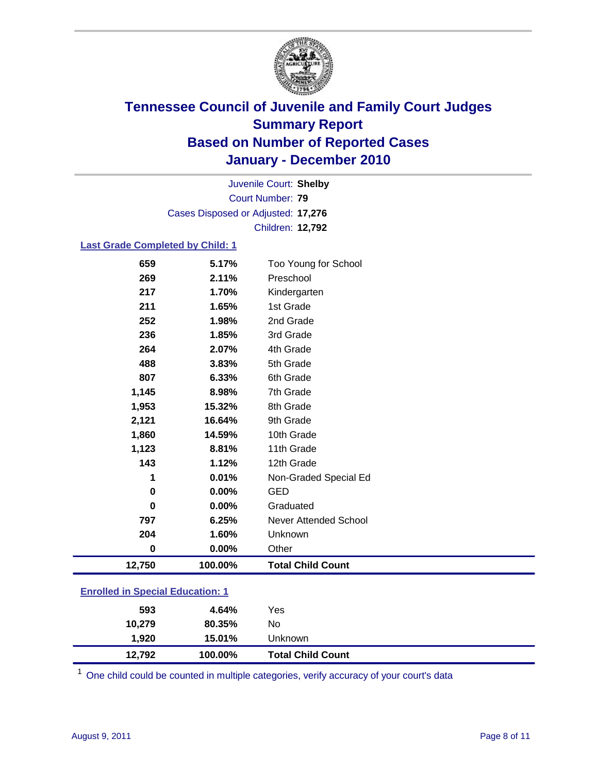

Court Number: **79** Juvenile Court: **Shelby** Cases Disposed or Adjusted: **17,276** Children: **12,792**

#### **Last Grade Completed by Child: 1**

| 659                                     | 5.17%   | Too Young for School     |  |
|-----------------------------------------|---------|--------------------------|--|
| 269                                     | 2.11%   | Preschool                |  |
| 217                                     | 1.70%   | Kindergarten             |  |
| 211                                     | 1.65%   | 1st Grade                |  |
| 252                                     | 1.98%   | 2nd Grade                |  |
| 236                                     | 1.85%   | 3rd Grade                |  |
| 264                                     | 2.07%   | 4th Grade                |  |
| 488                                     | 3.83%   | 5th Grade                |  |
| 807                                     | 6.33%   | 6th Grade                |  |
| 1,145                                   | 8.98%   | 7th Grade                |  |
| 1,953                                   | 15.32%  | 8th Grade                |  |
| 2,121                                   | 16.64%  | 9th Grade                |  |
| 1,860                                   | 14.59%  | 10th Grade               |  |
| 1,123                                   | 8.81%   | 11th Grade               |  |
| 143                                     | 1.12%   | 12th Grade               |  |
| 1                                       | 0.01%   | Non-Graded Special Ed    |  |
| $\bf{0}$                                | 0.00%   | <b>GED</b>               |  |
| $\bf{0}$                                | 0.00%   | Graduated                |  |
| 797                                     | 6.25%   | Never Attended School    |  |
| 204                                     | 1.60%   | Unknown                  |  |
| 0                                       | 0.00%   | Other                    |  |
| 12,750                                  | 100.00% | <b>Total Child Count</b> |  |
| <b>Enrolled in Special Education: 1</b> |         |                          |  |

| 12.792                                | 100.00% | <b>Total Child Count</b> |  |  |
|---------------------------------------|---------|--------------------------|--|--|
| 1.920                                 | 15.01%  | Unknown                  |  |  |
| 10.279                                | 80.35%  | No                       |  |  |
| 593                                   | 4.64%   | Yes                      |  |  |
| <u>Embreu III opecial Eugeanon. T</u> |         |                          |  |  |

 $1$  One child could be counted in multiple categories, verify accuracy of your court's data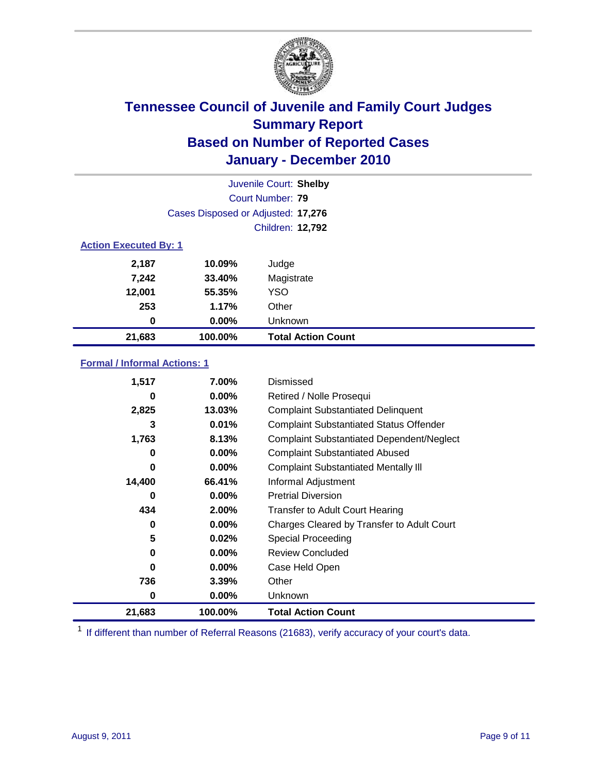

|                              | Juvenile Court: Shelby             |                           |  |  |
|------------------------------|------------------------------------|---------------------------|--|--|
|                              | Court Number: 79                   |                           |  |  |
|                              | Cases Disposed or Adjusted: 17,276 |                           |  |  |
|                              |                                    | <b>Children: 12,792</b>   |  |  |
| <b>Action Executed By: 1</b> |                                    |                           |  |  |
| 2,187                        | 10.09%                             | Judge                     |  |  |
| 7,242                        | 33.40%                             | Magistrate                |  |  |
| 12,001                       | 55.35%                             | <b>YSO</b>                |  |  |
| 253                          | 1.17%                              | Other                     |  |  |
| 0                            | $0.00\%$                           | Unknown                   |  |  |
| 21,683                       | 100.00%                            | <b>Total Action Count</b> |  |  |

### **Formal / Informal Actions: 1**

| 1,517  | 7.00%    | Dismissed                                        |
|--------|----------|--------------------------------------------------|
| 0      | $0.00\%$ | Retired / Nolle Prosequi                         |
| 2,825  | 13.03%   | <b>Complaint Substantiated Delinquent</b>        |
| 3      | 0.01%    | <b>Complaint Substantiated Status Offender</b>   |
| 1,763  | 8.13%    | <b>Complaint Substantiated Dependent/Neglect</b> |
| 0      | 0.00%    | <b>Complaint Substantiated Abused</b>            |
| 0      | $0.00\%$ | <b>Complaint Substantiated Mentally III</b>      |
| 14,400 | 66.41%   | Informal Adjustment                              |
| 0      | $0.00\%$ | <b>Pretrial Diversion</b>                        |
| 434    | 2.00%    | <b>Transfer to Adult Court Hearing</b>           |
| 0      | $0.00\%$ | Charges Cleared by Transfer to Adult Court       |
| 5      | 0.02%    | <b>Special Proceeding</b>                        |
| 0      | $0.00\%$ | <b>Review Concluded</b>                          |
| 0      | $0.00\%$ | Case Held Open                                   |
| 736    | $3.39\%$ | Other                                            |
| 0      | $0.00\%$ | Unknown                                          |
| 21,683 | 100.00%  | <b>Total Action Count</b>                        |

<sup>1</sup> If different than number of Referral Reasons (21683), verify accuracy of your court's data.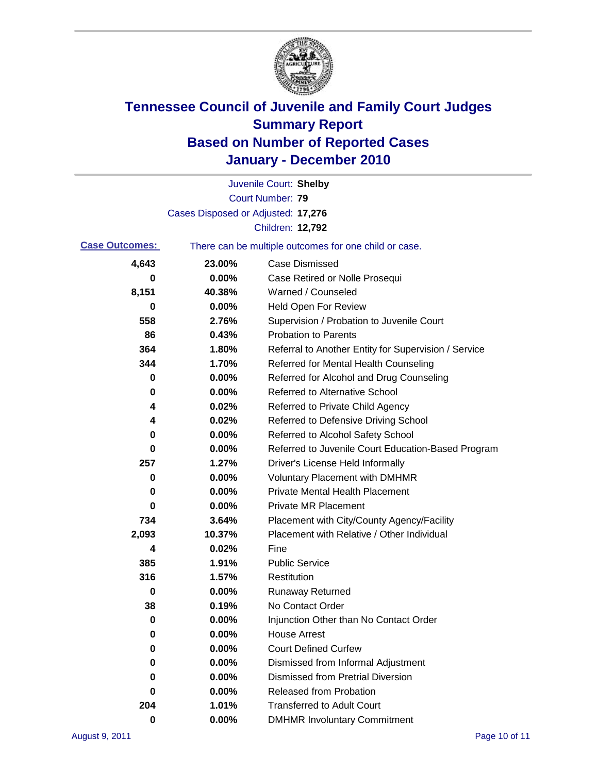

|                       |                                    | Juvenile Court: Shelby                                |
|-----------------------|------------------------------------|-------------------------------------------------------|
|                       |                                    | Court Number: 79                                      |
|                       | Cases Disposed or Adjusted: 17,276 |                                                       |
|                       |                                    | Children: 12,792                                      |
| <b>Case Outcomes:</b> |                                    | There can be multiple outcomes for one child or case. |
| 4,643                 | 23.00%                             | <b>Case Dismissed</b>                                 |
| 0                     | 0.00%                              | Case Retired or Nolle Prosequi                        |
| 8,151                 | 40.38%                             | Warned / Counseled                                    |
| 0                     | 0.00%                              | Held Open For Review                                  |
| 558                   | 2.76%                              | Supervision / Probation to Juvenile Court             |
| 86                    | 0.43%                              | <b>Probation to Parents</b>                           |
| 364                   | 1.80%                              | Referral to Another Entity for Supervision / Service  |
| 344                   | 1.70%                              | Referred for Mental Health Counseling                 |
| 0                     | 0.00%                              | Referred for Alcohol and Drug Counseling              |
| 0                     | 0.00%                              | <b>Referred to Alternative School</b>                 |
| 4                     | 0.02%                              | Referred to Private Child Agency                      |
| 4                     | 0.02%                              | Referred to Defensive Driving School                  |
| 0                     | 0.00%                              | Referred to Alcohol Safety School                     |
| 0                     | 0.00%                              | Referred to Juvenile Court Education-Based Program    |
| 257                   | 1.27%                              | Driver's License Held Informally                      |
| 0                     | 0.00%                              | <b>Voluntary Placement with DMHMR</b>                 |
| 0                     | 0.00%                              | <b>Private Mental Health Placement</b>                |
| 0                     | 0.00%                              | <b>Private MR Placement</b>                           |
| 734                   | 3.64%                              | Placement with City/County Agency/Facility            |
| 2,093                 | 10.37%                             | Placement with Relative / Other Individual            |
| 4                     | 0.02%                              | Fine                                                  |
| 385                   | 1.91%                              | <b>Public Service</b>                                 |
| 316                   | 1.57%                              | Restitution                                           |
| 0                     | 0.00%                              | Runaway Returned                                      |
| 38                    | 0.19%                              | No Contact Order                                      |
| 0                     | 0.00%                              | Injunction Other than No Contact Order                |
| 0                     | 0.00%                              | <b>House Arrest</b>                                   |
| 0                     | 0.00%                              | <b>Court Defined Curfew</b>                           |
| 0                     | 0.00%                              | Dismissed from Informal Adjustment                    |
| 0                     | 0.00%                              | <b>Dismissed from Pretrial Diversion</b>              |
| 0                     | 0.00%                              | Released from Probation                               |
| 204                   | 1.01%                              | <b>Transferred to Adult Court</b>                     |
| $\pmb{0}$             | $0.00\%$                           | <b>DMHMR Involuntary Commitment</b>                   |